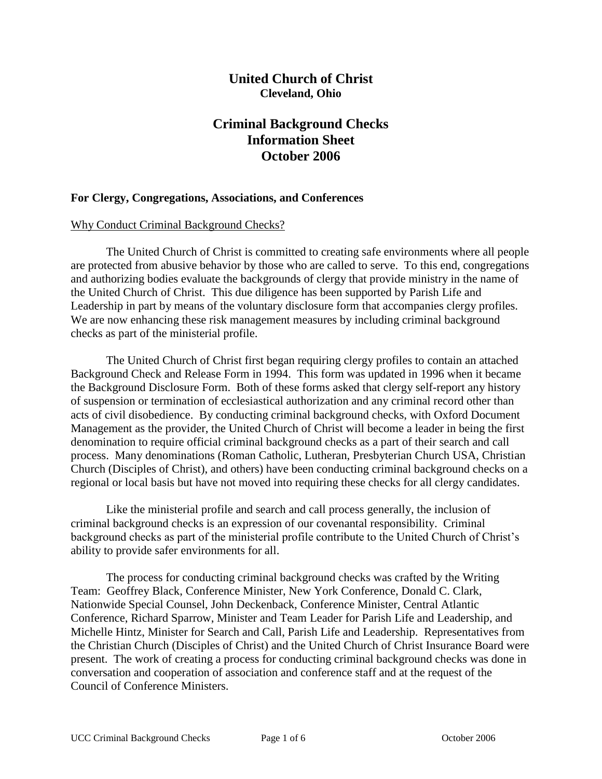## **United Church of Christ Cleveland, Ohio**

# **Criminal Background Checks Information Sheet October 2006**

#### **For Clergy, Congregations, Associations, and Conferences**

#### Why Conduct Criminal Background Checks?

The United Church of Christ is committed to creating safe environments where all people are protected from abusive behavior by those who are called to serve. To this end, congregations and authorizing bodies evaluate the backgrounds of clergy that provide ministry in the name of the United Church of Christ. This due diligence has been supported by Parish Life and Leadership in part by means of the voluntary disclosure form that accompanies clergy profiles. We are now enhancing these risk management measures by including criminal background checks as part of the ministerial profile.

The United Church of Christ first began requiring clergy profiles to contain an attached Background Check and Release Form in 1994. This form was updated in 1996 when it became the Background Disclosure Form. Both of these forms asked that clergy self-report any history of suspension or termination of ecclesiastical authorization and any criminal record other than acts of civil disobedience. By conducting criminal background checks, with Oxford Document Management as the provider, the United Church of Christ will become a leader in being the first denomination to require official criminal background checks as a part of their search and call process. Many denominations (Roman Catholic, Lutheran, Presbyterian Church USA, Christian Church (Disciples of Christ), and others) have been conducting criminal background checks on a regional or local basis but have not moved into requiring these checks for all clergy candidates.

Like the ministerial profile and search and call process generally, the inclusion of criminal background checks is an expression of our covenantal responsibility. Criminal background checks as part of the ministerial profile contribute to the United Church of Christ's ability to provide safer environments for all.

The process for conducting criminal background checks was crafted by the Writing Team: Geoffrey Black, Conference Minister, New York Conference, Donald C. Clark, Nationwide Special Counsel, John Deckenback, Conference Minister, Central Atlantic Conference, Richard Sparrow, Minister and Team Leader for Parish Life and Leadership, and Michelle Hintz, Minister for Search and Call, Parish Life and Leadership. Representatives from the Christian Church (Disciples of Christ) and the United Church of Christ Insurance Board were present. The work of creating a process for conducting criminal background checks was done in conversation and cooperation of association and conference staff and at the request of the Council of Conference Ministers.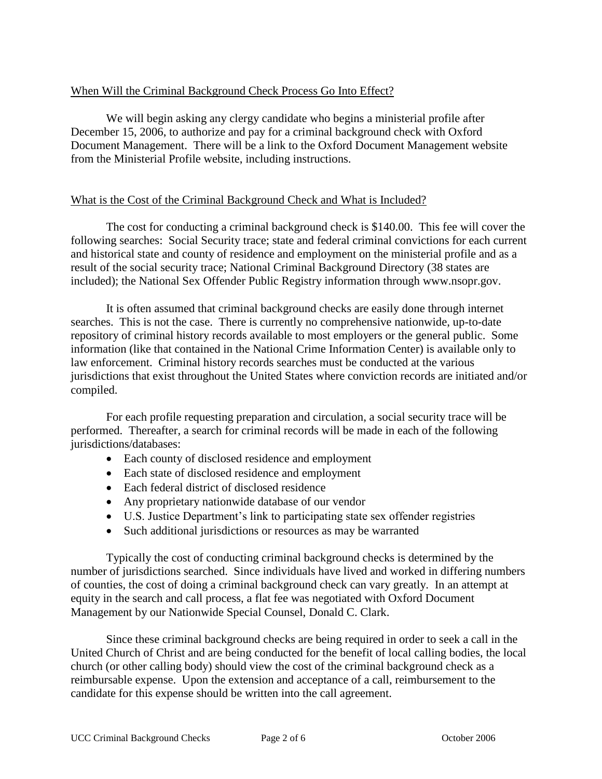#### When Will the Criminal Background Check Process Go Into Effect?

We will begin asking any clergy candidate who begins a ministerial profile after December 15, 2006, to authorize and pay for a criminal background check with Oxford Document Management. There will be a link to the Oxford Document Management website from the Ministerial Profile website, including instructions.

#### What is the Cost of the Criminal Background Check and What is Included?

The cost for conducting a criminal background check is \$140.00. This fee will cover the following searches: Social Security trace; state and federal criminal convictions for each current and historical state and county of residence and employment on the ministerial profile and as a result of the social security trace; National Criminal Background Directory (38 states are included); the National Sex Offender Public Registry information through www.nsopr.gov.

It is often assumed that criminal background checks are easily done through internet searches. This is not the case. There is currently no comprehensive nationwide, up-to-date repository of criminal history records available to most employers or the general public. Some information (like that contained in the National Crime Information Center) is available only to law enforcement. Criminal history records searches must be conducted at the various jurisdictions that exist throughout the United States where conviction records are initiated and/or compiled.

For each profile requesting preparation and circulation, a social security trace will be performed. Thereafter, a search for criminal records will be made in each of the following jurisdictions/databases:

- Each county of disclosed residence and employment
- Each state of disclosed residence and employment
- Each federal district of disclosed residence
- Any proprietary nationwide database of our vendor
- U.S. Justice Department's link to participating state sex offender registries
- Such additional jurisdictions or resources as may be warranted

Typically the cost of conducting criminal background checks is determined by the number of jurisdictions searched. Since individuals have lived and worked in differing numbers of counties, the cost of doing a criminal background check can vary greatly. In an attempt at equity in the search and call process, a flat fee was negotiated with Oxford Document Management by our Nationwide Special Counsel, Donald C. Clark.

Since these criminal background checks are being required in order to seek a call in the United Church of Christ and are being conducted for the benefit of local calling bodies, the local church (or other calling body) should view the cost of the criminal background check as a reimbursable expense. Upon the extension and acceptance of a call, reimbursement to the candidate for this expense should be written into the call agreement.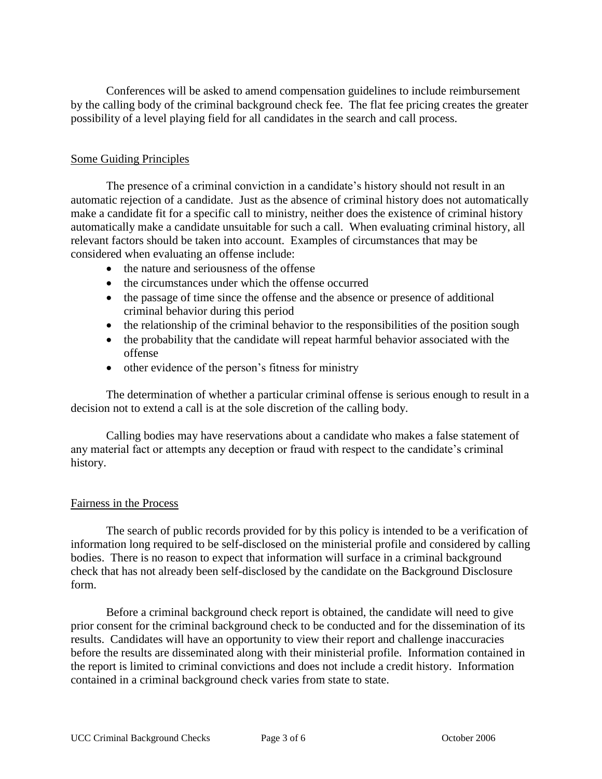Conferences will be asked to amend compensation guidelines to include reimbursement by the calling body of the criminal background check fee. The flat fee pricing creates the greater possibility of a level playing field for all candidates in the search and call process.

#### Some Guiding Principles

The presence of a criminal conviction in a candidate's history should not result in an automatic rejection of a candidate. Just as the absence of criminal history does not automatically make a candidate fit for a specific call to ministry, neither does the existence of criminal history automatically make a candidate unsuitable for such a call. When evaluating criminal history, all relevant factors should be taken into account. Examples of circumstances that may be considered when evaluating an offense include:

- the nature and seriousness of the offense
- the circumstances under which the offense occurred
- the passage of time since the offense and the absence or presence of additional criminal behavior during this period
- the relationship of the criminal behavior to the responsibilities of the position sough
- the probability that the candidate will repeat harmful behavior associated with the offense
- other evidence of the person's fitness for ministry

The determination of whether a particular criminal offense is serious enough to result in a decision not to extend a call is at the sole discretion of the calling body.

Calling bodies may have reservations about a candidate who makes a false statement of any material fact or attempts any deception or fraud with respect to the candidate's criminal history.

#### Fairness in the Process

The search of public records provided for by this policy is intended to be a verification of information long required to be self-disclosed on the ministerial profile and considered by calling bodies. There is no reason to expect that information will surface in a criminal background check that has not already been self-disclosed by the candidate on the Background Disclosure form.

Before a criminal background check report is obtained, the candidate will need to give prior consent for the criminal background check to be conducted and for the dissemination of its results. Candidates will have an opportunity to view their report and challenge inaccuracies before the results are disseminated along with their ministerial profile. Information contained in the report is limited to criminal convictions and does not include a credit history. Information contained in a criminal background check varies from state to state.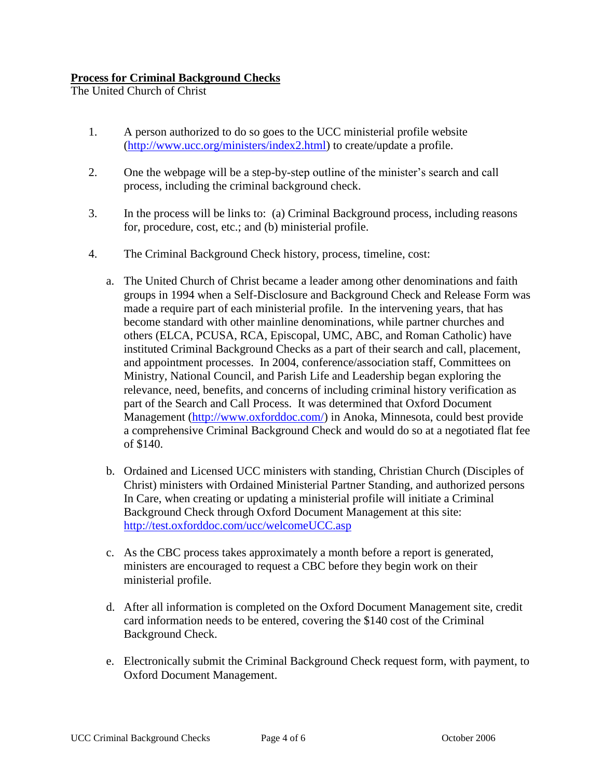### **Process for Criminal Background Checks**

The United Church of Christ

- 1. A person authorized to do so goes to the UCC ministerial profile website [\(http://www.ucc.org/ministers/index2.html\)](http://www.ucc.org/ministers/index2.html) to create/update a profile.
- 2. One the webpage will be a step-by-step outline of the minister's search and call process, including the criminal background check.
- 3. In the process will be links to: (a) Criminal Background process, including reasons for, procedure, cost, etc.; and (b) ministerial profile.
- 4. The Criminal Background Check history, process, timeline, cost:
	- a. The United Church of Christ became a leader among other denominations and faith groups in 1994 when a Self-Disclosure and Background Check and Release Form was made a require part of each ministerial profile. In the intervening years, that has become standard with other mainline denominations, while partner churches and others (ELCA, PCUSA, RCA, Episcopal, UMC, ABC, and Roman Catholic) have instituted Criminal Background Checks as a part of their search and call, placement, and appointment processes. In 2004, conference/association staff, Committees on Ministry, National Council, and Parish Life and Leadership began exploring the relevance, need, benefits, and concerns of including criminal history verification as part of the Search and Call Process. It was determined that Oxford Document Management [\(http://www.oxforddoc.com/\)](http://www.oxforddoc.com/) in Anoka, Minnesota, could best provide a comprehensive Criminal Background Check and would do so at a negotiated flat fee of \$140.
	- b. Ordained and Licensed UCC ministers with standing, Christian Church (Disciples of Christ) ministers with Ordained Ministerial Partner Standing, and authorized persons In Care, when creating or updating a ministerial profile will initiate a Criminal Background Check through Oxford Document Management at this site: <http://test.oxforddoc.com/ucc/welcomeUCC.asp>
	- c. As the CBC process takes approximately a month before a report is generated, ministers are encouraged to request a CBC before they begin work on their ministerial profile.
	- d. After all information is completed on the Oxford Document Management site, credit card information needs to be entered, covering the \$140 cost of the Criminal Background Check.
	- e. Electronically submit the Criminal Background Check request form, with payment, to Oxford Document Management.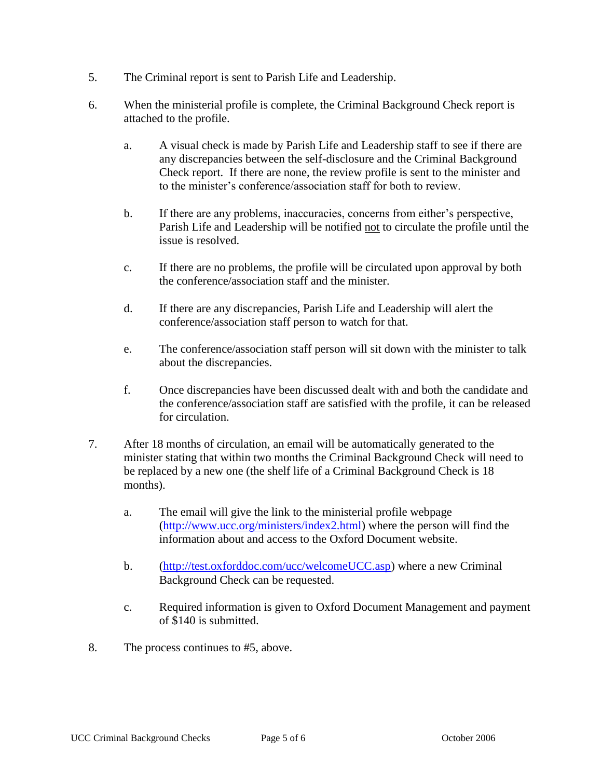- 5. The Criminal report is sent to Parish Life and Leadership.
- 6. When the ministerial profile is complete, the Criminal Background Check report is attached to the profile.
	- a. A visual check is made by Parish Life and Leadership staff to see if there are any discrepancies between the self-disclosure and the Criminal Background Check report. If there are none, the review profile is sent to the minister and to the minister's conference/association staff for both to review.
	- b. If there are any problems, inaccuracies, concerns from either's perspective, Parish Life and Leadership will be notified not to circulate the profile until the issue is resolved.
	- c. If there are no problems, the profile will be circulated upon approval by both the conference/association staff and the minister.
	- d. If there are any discrepancies, Parish Life and Leadership will alert the conference/association staff person to watch for that.
	- e. The conference/association staff person will sit down with the minister to talk about the discrepancies.
	- f. Once discrepancies have been discussed dealt with and both the candidate and the conference/association staff are satisfied with the profile, it can be released for circulation.
- 7. After 18 months of circulation, an email will be automatically generated to the minister stating that within two months the Criminal Background Check will need to be replaced by a new one (the shelf life of a Criminal Background Check is 18 months).
	- a. The email will give the link to the ministerial profile webpage [\(http://www.ucc.org/ministers/index2.html\)](http://www.ucc.org/ministers/index2.html) where the person will find the information about and access to the Oxford Document website.
	- b. [\(http://test.oxforddoc.com/ucc/welcomeUCC.asp\)](http://test.oxforddoc.com/ucc/welcomeUCC.asp) where a new Criminal Background Check can be requested.
	- c. Required information is given to Oxford Document Management and payment of \$140 is submitted.
- 8. The process continues to #5, above.